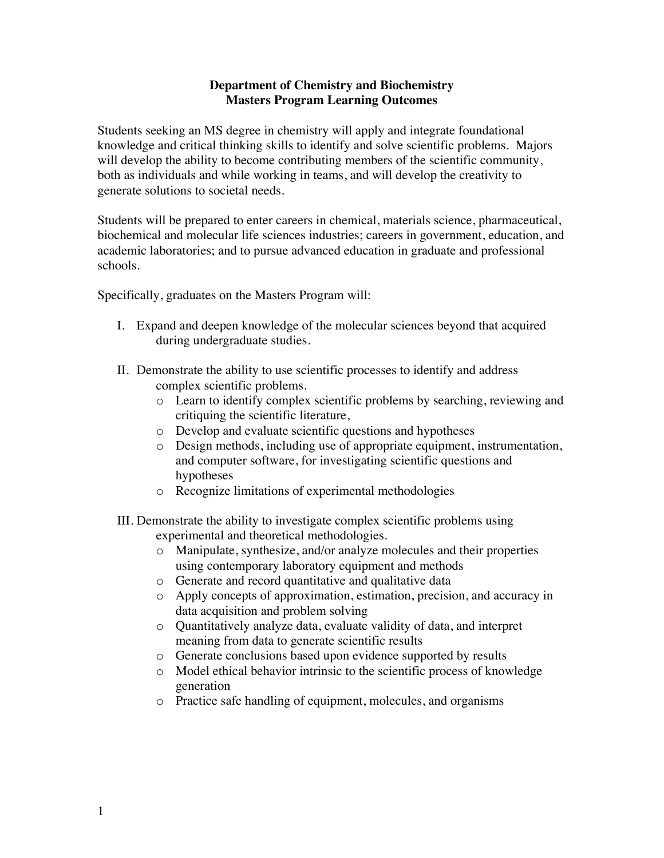## **Department of Chemistry and Biochemistry Masters Program Learning Outcomes**

Students seeking an MS degree in chemistry will apply and integrate foundational knowledge and critical thinking skills to identify and solve scientific problems. Majors will develop the ability to become contributing members of the scientific community, both as individuals and while working in teams, and will develop the creativity to generate solutions to societal needs.

Students will be prepared to enter careers in chemical, materials science, pharmaceutical, biochemical and molecular life sciences industries; careers in government, education, and academic laboratories; and to pursue advanced education in graduate and professional schools.

Specifically, graduates on the Masters Program will:

- I. Expand and deepen knowledge of the molecular sciences beyond that acquired during undergraduate studies.
- II. Demonstrate the ability to use scientific processes to identify and address complex scientific problems.
	- o Learn to identify complex scientific problems by searching, reviewing and critiquing the scientific literature,
	- o Develop and evaluate scientific questions and hypotheses
	- o Design methods, including use of appropriate equipment, instrumentation, and computer software, for investigating scientific questions and hypotheses
	- o Recognize limitations of experimental methodologies
- III. Demonstrate the ability to investigate complex scientific problems using experimental and theoretical methodologies.
	- o Manipulate, synthesize, and/or analyze molecules and their properties using contemporary laboratory equipment and methods
	- o Generate and record quantitative and qualitative data
	- o Apply concepts of approximation, estimation, precision, and accuracy in data acquisition and problem solving
	- o Quantitatively analyze data, evaluate validity of data, and interpret meaning from data to generate scientific results
	- o Generate conclusions based upon evidence supported by results
	- o Model ethical behavior intrinsic to the scientific process of knowledge generation
	- o Practice safe handling of equipment, molecules, and organisms